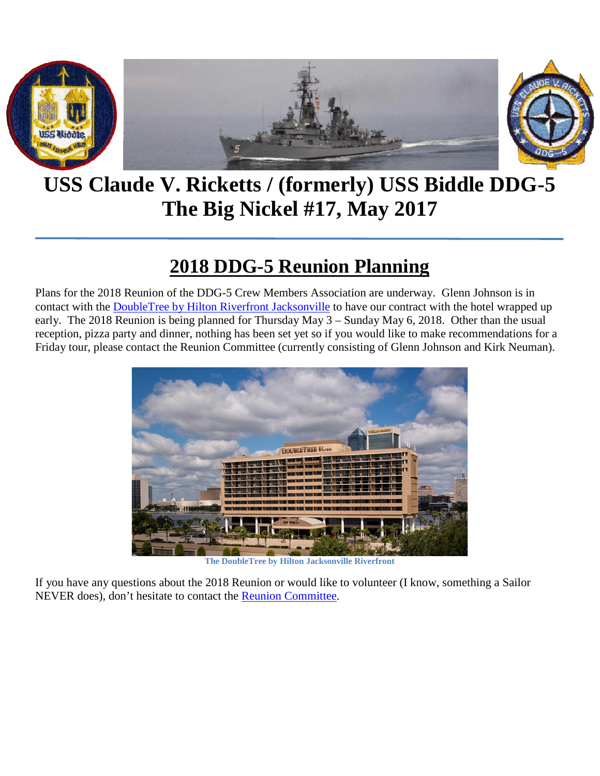

**USS Claude V. Ricketts / (formerly) USS Biddle DDG-5 The Big Nickel #17, May 2017**

## **2018 DDG-5 Reunion Planning**

Plans for the 2018 Reunion of the DDG-5 Crew Members Association are underway. Glenn Johnson is in contact with the [DoubleTree by Hilton Riverfront Jacksonville](http://doubletree3.hilton.com/en/hotels/florida/doubletree-by-hilton-hotel-jacksonville-riverfront-JAXJRDT/index.html) to have our contract with the hotel wrapped up early. The 2018 Reunion is being planned for Thursday May 3 – Sunday May 6, 2018. Other than the usual reception, pizza party and dinner, nothing has been set yet so if you would like to make recommendations for a Friday tour, please contact the Reunion Committee (currently consisting of Glenn Johnson and Kirk Neuman).



**The DoubleTree by Hilton Jacksonville Riverfront**

If you have any questions about the 2018 Reunion or would like to volunteer (I know, something a Sailor NEVER does), don't hesitate to contact the [Reunion Committee.](mailto:Reunion.Committee@TheBigNickel.Navy?subject=2018%20Reunion%20Inquiry)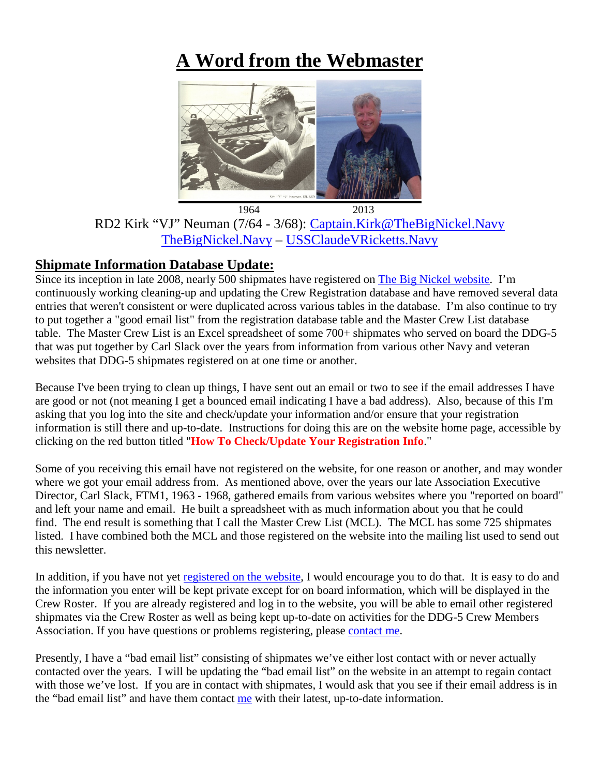# **A Word from the Webmaster**



RD2 Kirk "VJ" Neuman (7/64 - 3/68): [Captain.Kirk@TheBigNickel.Navy](mailto:Captain.Kirk@TheBigNickel.Navy) [TheBigNickel.Navy](https://thebignickel.navy/) – [USSClaudeVRicketts.Navy](http://ussclaudevricketts.navy/)

### **Shipmate Information Database Update:**

Since its inception in late 2008, nearly 500 shipmates have registered on [The Big Nickel website.](http://thebignickel.navy/) I'm continuously working cleaning-up and updating the Crew Registration database and have removed several data entries that weren't consistent or were duplicated across various tables in the database. I'm also continue to try to put together a "good email list" from the registration database table and the Master Crew List database table. The Master Crew List is an Excel spreadsheet of some 700+ shipmates who served on board the DDG-5 that was put together by Carl Slack over the years from information from various other Navy and veteran websites that DDG-5 shipmates registered on at one time or another.

Because I've been trying to clean up things, I have sent out an email or two to see if the email addresses I have are good or not (not meaning I get a bounced email indicating I have a bad address). Also, because of this I'm asking that you log into the site and check/update your information and/or ensure that your registration information is still there and up-to-date. Instructions for doing this are on the website home page, accessible by clicking on the red button titled "**How To Check/Update Your Registration Info**."

Some of you receiving this email have not registered on the website, for one reason or another, and may wonder where we got your email address from. As mentioned above, over the years our late Association Executive Director, Carl Slack, FTM1, 1963 - 1968, gathered emails from various websites where you "reported on board" and left your name and email. He built a spreadsheet with as much information about you that he could find. The end result is something that I call the Master Crew List (MCL). The MCL has some 725 shipmates listed. I have combined both the MCL and those registered on the website into the mailing list used to send out this newsletter.

In addition, if you have not yet [registered on the website,](https://thebignickel.navy/CrewRegistration.php) I would encourage you to do that. It is easy to do and the information you enter will be kept private except for on board information, which will be displayed in the Crew Roster. If you are already registered and log in to the website, you will be able to email other registered shipmates via the Crew Roster as well as being kept up-to-date on activities for the DDG-5 Crew Members Association. If you have questions or problems registering, please [contact me.](mailto:Captain.Kirk@TheBigNickel.Navy?subject=Registration%20problems)

Presently, I have a "bad email list" consisting of shipmates we've either lost contact with or never actually contacted over the years. I will be updating the "bad email list" on the website in an attempt to regain contact with those we've lost. If you are in contact with shipmates, I would ask that you see if their email address is in the "bad email list" and have them contact [me](mailto:Captain.Kirk@TheBigNickel.Navy?subject=Personal%20information%20update) with their latest, up-to-date information.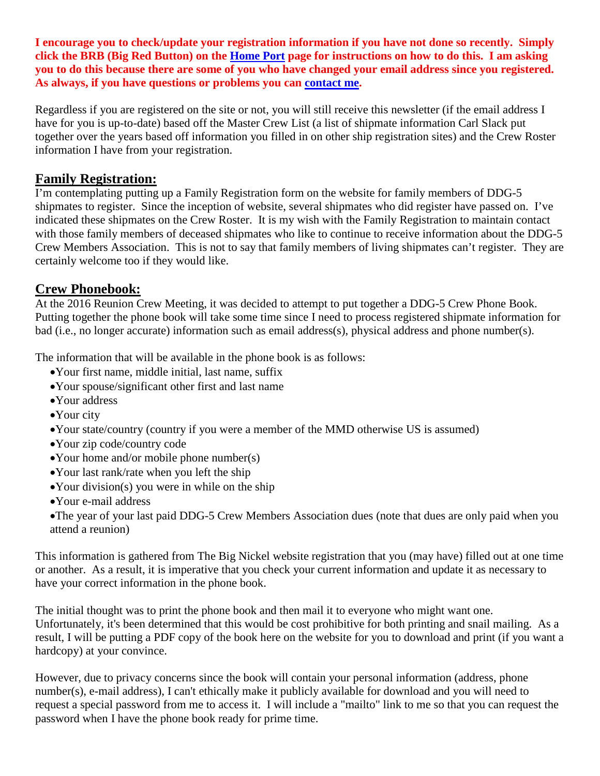**I encourage you to check/update your registration information if you have not done so recently. Simply click the BRB (Big Red Button) on the [Home Port](https://thebignickel.navy/) page for instructions on how to do this. I am asking you to do this because there are some of you who have changed your email address since you registered. As always, if you have questions or problems you can [contact me.](mailto:Captain.Kirk@TheBigNickel.Navy?subject=Registration%20update)**

Regardless if you are registered on the site or not, you will still receive this newsletter (if the email address I have for you is up-to-date) based off the Master Crew List (a list of shipmate information Carl Slack put together over the years based off information you filled in on other ship registration sites) and the Crew Roster information I have from your registration.

### **Family Registration:**

I'm contemplating putting up a Family Registration form on the website for family members of DDG-5 shipmates to register. Since the inception of website, several shipmates who did register have passed on. I've indicated these shipmates on the Crew Roster. It is my wish with the Family Registration to maintain contact with those family members of deceased shipmates who like to continue to receive information about the DDG-5 Crew Members Association. This is not to say that family members of living shipmates can't register. They are certainly welcome too if they would like.

### **Crew Phonebook:**

At the 2016 Reunion Crew Meeting, it was decided to attempt to put together a DDG-5 Crew Phone Book. Putting together the phone book will take some time since I need to process registered shipmate information for bad (i.e., no longer accurate) information such as email address(s), physical address and phone number(s).

The information that will be available in the phone book is as follows:

- •Your first name, middle initial, last name, suffix
- •Your spouse/significant other first and last name
- •Your address
- •Your city
- •Your state/country (country if you were a member of the MMD otherwise US is assumed)
- •Your zip code/country code
- •Your home and/or mobile phone number(s)
- •Your last rank/rate when you left the ship
- •Your division(s) you were in while on the ship
- •Your e-mail address

•The year of your last paid DDG-5 Crew Members Association dues (note that dues are only paid when you attend a reunion)

This information is gathered from The Big Nickel website registration that you (may have) filled out at one time or another. As a result, it is imperative that you check your current information and update it as necessary to have your correct information in the phone book.

The initial thought was to print the phone book and then mail it to everyone who might want one. Unfortunately, it's been determined that this would be cost prohibitive for both printing and snail mailing. As a result, I will be putting a PDF copy of the book here on the website for you to download and print (if you want a hardcopy) at your convince.

However, due to privacy concerns since the book will contain your personal information (address, phone number(s), e-mail address), I can't ethically make it publicly available for download and you will need to request a special password from me to access it. I will include a "mailto" link to me so that you can request the password when I have the phone book ready for prime time.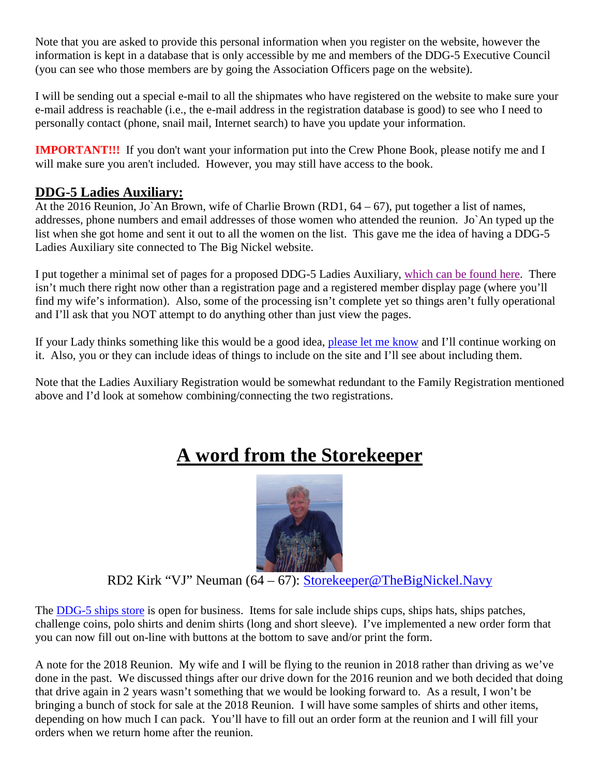Note that you are asked to provide this personal information when you register on the website, however the information is kept in a database that is only accessible by me and members of the DDG-5 Executive Council (you can see who those members are by going the Association Officers page on the website).

I will be sending out a special e-mail to all the shipmates who have registered on the website to make sure your e-mail address is reachable (i.e., the e-mail address in the registration database is good) to see who I need to personally contact (phone, snail mail, Internet search) to have you update your information.

**IMPORTANT!!!** If you don't want your information put into the Crew Phone Book, please notify me and I will make sure you aren't included. However, you may still have access to the book.

### **DDG-5 Ladies Auxiliary:**

At the 2016 Reunion, Jo`An Brown, wife of Charlie Brown (RD1,  $64 - 67$ ), put together a list of names, addresses, phone numbers and email addresses of those women who attended the reunion. Jo`An typed up the list when she got home and sent it out to all the women on the list. This gave me the idea of having a DDG-5 Ladies Auxiliary site connected to The Big Nickel website.

I put together a minimal set of pages for a proposed DDG-5 Ladies Auxiliary, [which can be found here.](https://ladiesauxiliary.thebignickel.navy/) There isn't much there right now other than a registration page and a registered member display page (where you'll find my wife's information). Also, some of the processing isn't complete yet so things aren't fully operational and I'll ask that you NOT attempt to do anything other than just view the pages.

If your Lady thinks something like this would be a good idea, [please let me know](mailto:captain.kirk@thebignickel.navy?subject=DDG-5%20Ladies%20Auxilary) and I'll continue working on it. Also, you or they can include ideas of things to include on the site and I'll see about including them.

Note that the Ladies Auxiliary Registration would be somewhat redundant to the Family Registration mentioned above and I'd look at somehow combining/connecting the two registrations.

# **A word from the Storekeeper**



RD2 Kirk "VJ" Neuman (64 – 67): Storekeeper@TheBigNickel.Navy

The [DDG-5 ships store](https://thebignickel.navy/ShipsStore.html) is open for business. Items for sale include ships cups, ships hats, ships patches, challenge coins, polo shirts and denim shirts (long and short sleeve). I've implemented a new order form that you can now fill out on-line with buttons at the bottom to save and/or print the form.

A note for the 2018 Reunion. My wife and I will be flying to the reunion in 2018 rather than driving as we've done in the past. We discussed things after our drive down for the 2016 reunion and we both decided that doing that drive again in 2 years wasn't something that we would be looking forward to. As a result, I won't be bringing a bunch of stock for sale at the 2018 Reunion. I will have some samples of shirts and other items, depending on how much I can pack. You'll have to fill out an order form at the reunion and I will fill your orders when we return home after the reunion.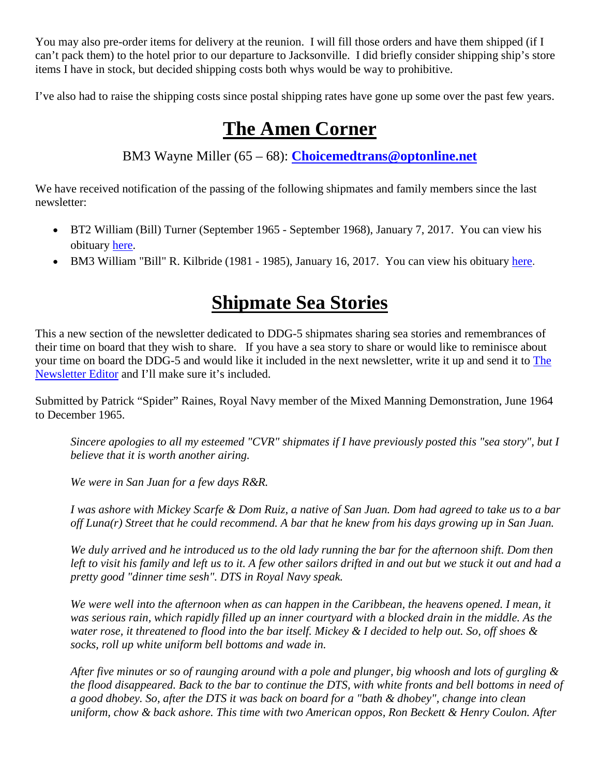You may also pre-order items for delivery at the reunion. I will fill those orders and have them shipped (if I can't pack them) to the hotel prior to our departure to Jacksonville. I did briefly consider shipping ship's store items I have in stock, but decided shipping costs both whys would be way to prohibitive.

I've also had to raise the shipping costs since postal shipping rates have gone up some over the past few years.

## **The Amen Corner**

BM3 Wayne Miller (65 – 68): **[Choicemedtrans@optonline.net](mailto:Choicemedtrans@optonline.net)**

We have received notification of the passing of the following shipmates and family members since the last newsletter:

- BT2 William (Bill) Turner (September 1965 September 1968), January 7, 2017. You can view his obituary [here.](http://www.legacy.com/obituaries/willistonpioneer/obituary.aspx?n=william-o-turner&pid=173834061&)
- BM3 William "Bill" R. Kilbride (1981 1985), January 16, 2017. You can view his obituary [here](http://www.legacy.com/obituaries/toledoblade/obituary.aspx?pid=183644798).

# **Shipmate Sea Stories**

This a new section of the newsletter dedicated to DDG-5 shipmates sharing sea stories and remembrances of their time on board that they wish to share. If you have a sea story to share or would like to reminisce about your time on board the DDG-5 and would like it included in the next newsletter, write it up and send it to [The](mailto:newsletter.editor@thebignickel.navy?subject=Newsletter%20submittal)  [Newsletter Editor](mailto:newsletter.editor@thebignickel.navy?subject=Newsletter%20submittal) and I'll make sure it's included.

Submitted by Patrick "Spider" Raines, Royal Navy member of the Mixed Manning Demonstration, June 1964 to December 1965.

*Sincere apologies to all my esteemed "CVR" shipmates if I have previously posted this "sea story", but I believe that it is worth another airing.*

*We were in San Juan for a few days R&R.* 

*I was ashore with Mickey Scarfe & Dom Ruiz, a native of San Juan. Dom had agreed to take us to a bar off Luna(r) Street that he could recommend. A bar that he knew from his days growing up in San Juan.*

*We duly arrived and he introduced us to the old lady running the bar for the afternoon shift. Dom then left to visit his family and left us to it. A few other sailors drifted in and out but we stuck it out and had a pretty good "dinner time sesh". DTS in Royal Navy speak.* 

We were well into the afternoon when as can happen in the Caribbean, the heavens opened. I mean, it *was serious rain, which rapidly filled up an inner courtyard with a blocked drain in the middle. As the water rose, it threatened to flood into the bar itself. Mickey & I decided to help out. So, off shoes & socks, roll up white uniform bell bottoms and wade in.* 

*After five minutes or so of raunging around with a pole and plunger, big whoosh and lots of gurgling & the flood disappeared. Back to the bar to continue the DTS, with white fronts and bell bottoms in need of a good dhobey. So, after the DTS it was back on board for a "bath & dhobey", change into clean uniform, chow & back ashore. This time with two American oppos, Ron Beckett & Henry Coulon. After*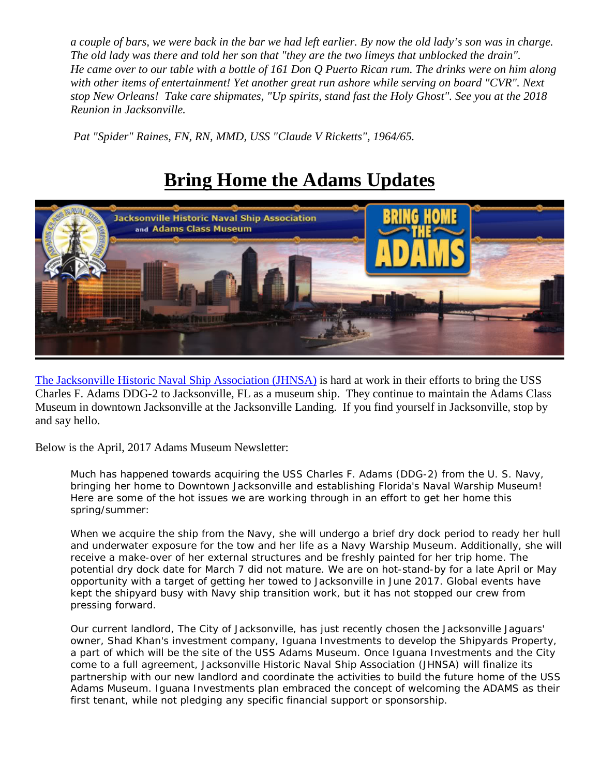*a couple of bars, we were back in the bar we had left earlier. By now the old lady's son was in charge. The old lady was there and told her son that "they are the two limeys that unblocked the drain". He came over to our table with a bottle of 161 Don Q Puerto Rican rum. The drinks were on him along with other items of entertainment! Yet another great run ashore while serving on board "CVR". Next stop New Orleans! Take care shipmates, "Up spirits, stand fast the Holy Ghost". See you at the 2018 Reunion in Jacksonville.*

*Pat "Spider" Raines, FN, RN, MMD, USS "Claude V Ricketts", 1964/65.*

# **Bring Home the Adams Updates**



[The Jacksonville Historic Naval Ship Association \(JHNSA\)](https://www.ussadams.com/) is hard at work in their efforts to bring the USS Charles F. Adams DDG-2 to Jacksonville, FL as a museum ship. They continue to maintain the Adams Class Museum in downtown Jacksonville at the Jacksonville Landing. If you find yourself in Jacksonville, stop by and say hello.

Below is the April, 2017 Adams Museum Newsletter:

Much has happened towards acquiring the USS Charles F. Adams (DDG-2) from the U. S. Navy, bringing her home to Downtown Jacksonville and establishing Florida's Naval Warship Museum! Here are some of the hot issues we are working through in an effort to get her home this spring/summer:

When we acquire the ship from the Navy, she will undergo a brief dry dock period to ready her hull and underwater exposure for the tow and her life as a Navy Warship Museum. Additionally, she will receive a make-over of her external structures and be freshly painted for her trip home. The potential dry dock date for March 7 did not mature. We are on hot-stand-by for a late April or May opportunity with a target of getting her towed to Jacksonville in June 2017. Global events have kept the shipyard busy with Navy ship transition work, but it has not stopped our crew from pressing forward.

Our current landlord, The City of Jacksonville, has just recently chosen the Jacksonville Jaguars' owner, Shad Khan's investment company, Iguana Investments to develop the Shipyards Property, a part of which will be the site of the USS Adams Museum. Once Iguana Investments and the City come to a full agreement, Jacksonville Historic Naval Ship Association (JHNSA) will finalize its partnership with our new landlord and coordinate the activities to build the future home of the USS Adams Museum. Iguana Investments plan embraced the concept of welcoming the ADAMS as their first tenant, while not pledging any specific financial support or sponsorship.